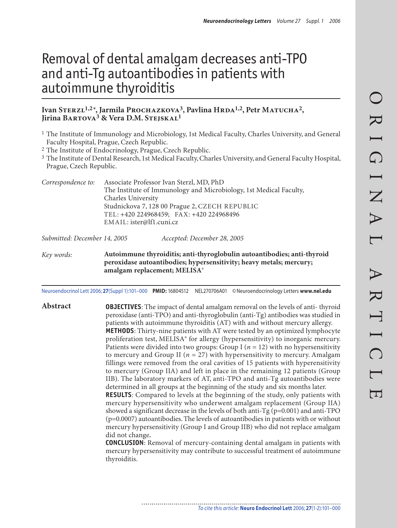# Removal of dental amalgam decreases anti-TPO and anti-Tg autoantibodies in patients with autoimmune thyroiditis

#### Ivan STERZL<sup>1,2\*</sup>, Jarmila PROCHAZKOVA<sup>3</sup>, Pavlina HRDA<sup>1,2</sup>, Petr MATUCHA<sup>2</sup>, Jirina BARTOVA<sup>3</sup> & Vera D.M. STEJSKAL<sup>1</sup>

- 1 The Institute of Immunology and Microbiology, 1st Medical Faculty, Charles University, and General Faculty Hospital, Prague, Czech Republic.
- 2 The Institute of Endocrinology, Prague, Czech Republic.
- 3 The Institute of Dental Research, 1st Medical Faculty, Charles University, and General Faculty Hospital, Prague, Czech Republic.

| Correspondence to: | Associate Professor Ivan Sterzl, MD, PhD                           |  |  |
|--------------------|--------------------------------------------------------------------|--|--|
|                    | The Institute of Immunology and Microbiology, 1st Medical Faculty, |  |  |
|                    | Charles University                                                 |  |  |
|                    | Studnickova 7, 128 00 Prague 2, CZECH REPUBLIC                     |  |  |
|                    | TEL: +420 224968459; FAX: +420 224968496                           |  |  |
|                    | EMAIL: ister@lf1.cuni.cz                                           |  |  |
|                    |                                                                    |  |  |

Submitted: December 14, 2005 Accepted: December 28, 2005

Key words: **Autoimmune thyroiditis; anti-thyroglobulin autoantibodies; anti-thyroid peroxidase autoantibodies; hypersensitivity; heavy metals; mercury; amalgam replacement; MELISA®**

Neuroendocrinol Lett 2006; **27**(Suppl 1):101–000 **PMID:** 16804512 NEL270706A01 © Neuroendocrinology Letters **www.nel.edu**

**Abstract OBJECTIVES**: The impact of dental amalgam removal on the levels of anti- thyroid peroxidase (anti-TPO) and anti-thyroglobulin (anti-Tg) antibodies was studied in patients with autoimmune thyroiditis (AT) with and without mercury allergy. **METHODS**: Thirty-nine patients with AT were tested by an optimized lymphocyte proliferation test, MELISA® for allergy (hypersensitivity) to inorganic mercury. Patients were divided into two groups: Group I ( $n = 12$ ) with no hypersensitivity to mercury and Group II ( $n = 27$ ) with hypersensitivity to mercury. Amalgam fillings were removed from the oral cavities of 15 patients with hyperensitivity to mercury (Group IIA) and left in place in the remaining 12 patients (Group IIB). The laboratory markers of AT, anti-TPO and anti-Tg autoantibodies were determined in all groups at the beginning of the study and six months later. **RESULTS**: Compared to levels at the beginning of the study, only patients with mercury hypersensitivity who underwent amalgam replacement (Group IIA) showed a significant decrease in the levels of both anti-Tg (p=0.001) and anti-TPO (p=0.0007) autoantibodies. The levels of autoantibodies in patients with or without mercury hypersensitivity (Group I and Group IIB) who did not replace amalgam did not change**.**

> **CONCLUSION**: Removal of mercury-containing dental amalgam in patients with mercury hypersensitivity may contribute to successful treatment of autoimmune thyroiditis.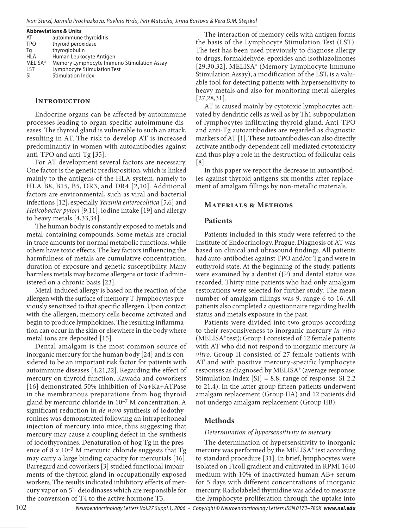| <b>Abbreviations &amp; Units</b> |                                            |  |  |  |
|----------------------------------|--------------------------------------------|--|--|--|
| AT                               | autoimmune thyroiditis                     |  |  |  |
| <b>TPO</b>                       | thyroid peroxidase                         |  |  |  |
| Tq                               | thyroglobulin                              |  |  |  |
| HLA                              | Human Leukocyte Antigen                    |  |  |  |
| <b>MELISA®</b>                   | Memory Lymphocyte Immuno Stimulation Assay |  |  |  |
| LST                              | Lymphocyte Stimulation Test                |  |  |  |
| -SI                              | <b>Stimulation Index</b>                   |  |  |  |

#### **INTRODUCTION**

Endocrine organs can be affected by autoimmune processes leading to organ-specific autoimmune diseases. The thyroid gland is vulnerable to such an attack, resulting in AT. The risk to develop AT is increased predominantly in women with autoantibodies against anti-TPO and anti-Tg [35].

For AT development several factors are necessary. One factor is the genetic predisposition, which is linked mainly to the antigens of the HLA system, namely to HLA B8, B15, B5, DR3, and DR4 [2,10]. Additional factors are environmental, such as viral and bacterial infections [12], especially Yersinia enterocolitica [5,6] and Helicobacter pylori [9,11], iodine intake [19] and allergy to heavy metals [4,33,34].

The human body is constantly exposed to metals and metal-containing compounds. Some metals are crucial in trace amounts for normal metabolic functions, while others have toxic effects. The key factors influencing the harmfulness of metals are cumulative concentration, duration of exposure and genetic susceptibility. Many harmless metals may become allergens or toxic if administered on a chronic basis [23].

Metal-induced allergy is based on the reaction of the allergen with the surface of memory T-lymphocytes previously sensitized to that specific allergen. Upon contact with the allergen, memory cells become activated and begin to produce lymphokines. The resulting inflammation can occur in the skin or elsewhere in the body where metal ions are deposited [15].

Dental amalgam is the most common source of inorganic mercury for the human body [24] and is considered to be an important risk factor for patients with autoimmune diseases [4,21,22]. Regarding the effect of mercury on thyroid function, Kawada and coworkers [16] demonstrated 50% inhibition of Na+Ka+ATPase in the membranous preparations from hog thyroid gland by mercuric chloride in 10–7 M concentration. A significant reduction in de novo synthesis of iodothyronines was demonstrated following an intraperitoneal injection of mercury into mice, thus suggesting that mercury may cause a coupling defect in the synthesis of iodothyronines. Denaturation of hog Tg in the presence of 8 x  $10^{-3}$  M mercuric chloride suggests that Tg may carry a large binding capacity for mercurials [16]. Barregard and coworkers [3] studied functional impairments of the thyroid gland in occupationally exposed workers. The results indicated inhibitory effects of mercury vapor on 5'- deiodinases which are responsible for the conversion of T4 to the active hormone T3.

The interaction of memory cells with antigen forms the basis of the Lymphocyte Stimulation Test (LST). The test has been used previously to diagnose allergy to drugs, formaldehyde, epoxides and isothiazolinones [29,30,32]. MELISA® (Memory Lymphocyte Immuno Stimulation Assay), a modification of the LST, is a valuable tool for detecting patients with hypersensitivity to heavy metals and also for monitoring metal allergies [27,28,31].

AT is caused mainly by cytotoxic lymphocytes activated by dendritic cells as well as by Th1 subpopulation of lymphocytes infiltrating thyroid gland. Anti-TPO and anti-Tg autoantibodies are regarded as diagnostic markers of AT [1]. These autoantibodies can also directly activate antibody-dependent cell-mediated cytotoxicity and thus play a role in the destruction of follicular cells [8].

In this paper we report the decrease in autoantibodies against thyroid antigens six months after replacement of amalgam fillings by non-metallic materials.

#### **MATERIALS & METHODS**

#### **Patients**

Patients included in this study were referred to the Institute of Endocrinology, Prague. Diagnosis of AT was based on clinical and ultrasound findings. All patients had auto-antibodies against TPO and/or Tg and were in euthyroid state. At the beginning of the study, patients were examined by a dentist (JP) and dental status was recorded. Thirty nine patients who had only amalgam restorations were selected for further study. The mean number of amalgam fillings was 9, range 6 to 16. All patients also completed a questionnaire regarding health status and metals exposure in the past.

Patients were divided into two groups according to their responsiveness to inorganic mercury in vitro (MELISA® test); Group I consisted of 12 female patients with AT who did not respond to inorganic mercury in vitro. Group II consisted of 27 female patients with AT and with positive mercury-specific lymphocyte responses as diagnosed by MELISA® (average response: Stimulation Index  $[SI] = 8.8$ ; range of response: SI 2.2 to 21.4). In the latter group fifteen patients underwent amalgam replacement (Group IIA) and 12 patients did not undergo amalgam replacement (Group IIB).

# **Methods**

#### Determination of hypersensitivity to mercury

The determination of hypersensitivity to inorganic mercury was performed by the MELISA® test according to standard procedure [31]. In brief, lymphocytes were isolated on Ficoll gradient and cultivated in RPMI 1640 medium with 10% of inactivated human AB+ serum for 5 days with different concentrations of inorganic mercury. Radiolabeled thymidine was added to measure the lymphocyte proliferation through the uptake into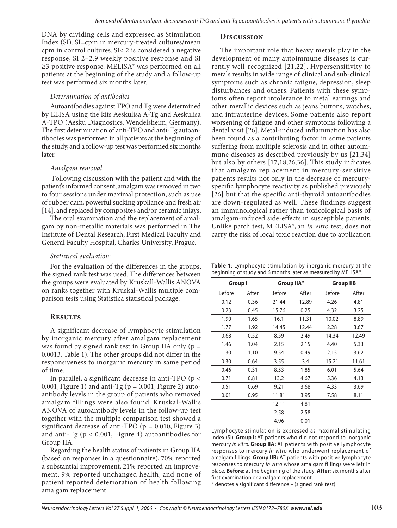DNA by dividing cells and expressed as Stimulation Index (SI). SI=cpm in mercury-treated cultures/mean cpm in control cultures. SI< 2 is considered a negative response, SI 2–2.9 weekly positive response and SI ≥3 positive response. MELISA® was performed on all patients at the beginning of the study and a follow-up test was performed six months later.

#### Determination of antibodies

Autoantibodies against TPO and Tg were determined by ELISA using the kits Aeskulisa A-Tg and Aeskulisa A-TPO (Aesku Diagnostics, Wendelsheim, Germany). The first determination of anti-TPO and anti-Tg autoantibodies was performed in all patients at the beginning of the study, and a follow-up test was performed six months later.

#### Amalgam removal

 Following discussion with the patient and with the patient's informed consent, amalgam was removed in two to four sessions under maximal protection, such as use of rubber dam, powerful sucking appliance and fresh air [14], and replaced by composites and/or ceramic inlays.

The oral examination and the replacement of amalgam by non-metallic materials was performed in The Institute of Dental Research, First Medical Faculty and General Faculty Hospital, Charles University, Prague.

#### Statistical evaluation:

For the evaluation of the differences in the groups, the signed rank test was used. The differences between the groups were evaluated by Kruskall-Wallis ANOVA on ranks together with Kruskal-Wallis multiple comparison tests using Statistica statistical package.

### **R**

A significant decrease of lymphocyte stimulation by inorganic mercury after amalgam replacement was found by signed rank test in Group IIA only ( $p =$ 0.0013, Table 1). The other groups did not differ in the responsiveness to inorganic mercury in same period of time.

In parallel, a significant decrease in anti-TPO (p < 0.001, Figure 1) and anti-Tg ( $p = 0.001$ , Figure 2) autoantibody levels in the group of patients who removed amalgam fillings were also found. Kruskal-Wallis ANOVA of autoantibody levels in the follow-up test together with the multiple comparison test showed a significant decrease of anti-TPO ( $p = 0.010$ , Figure 3) and anti-Tg ( $p < 0.001$ , Figure 4) autoantibodies for Group IIA.

Regarding the health status of patients in Group IIA (based on responses in a questionnaire), 70% reported a substantial improvement, 21% reported an improvement, 9% reported unchanged health, and none of patient reported deterioration of health following amalgam replacement.

# DISCUSSION

The important role that heavy metals play in the development of many autoimmune diseases is currently well-recognized [21,22]. Hypersensitivity to metals results in wide range of clinical and sub-clinical symptoms such as chronic fatigue, depression, sleep disturbances and others. Patients with these symptoms often report intolerance to metal earrings and other metallic devices such as jeans buttons, watches, and intrauterine devices. Some patients also report worsening of fatigue and other symptoms following a dental visit [26]. Metal-induced inflammation has also been found as a contributing factor in some patients suffering from multiple sclerosis and in other autoimmune diseases as described previously by us [21,34] but also by others [17,18,26,36]. This study indicates that amalgam replacement in mercury-sensitive patients results not only in the decrease of mercuryspecific lymphocyte reactivity as published previously [26] but that the specific anti-thyroid autoantibodies are down-regulated as well. These findings suggest an immunological rather than toxicological basis of amalgam-induced side-effects in susceptible patients. Unlike patch test, MELISA®, an in vitro test, does not carry the risk of local toxic reaction due to application

**Table 1**: Lymphocyte stimulation by inorganic mercury at the beginning of study and 6 months later as measured by MELISA®.

| Group I |        | Group IIA* |               | <b>Group IIB</b> |  |
|---------|--------|------------|---------------|------------------|--|
| After   | Before | After      | <b>Before</b> | After            |  |
| 0.36    | 21.44  | 12.89      | 4.26          | 4.81             |  |
| 0.45    | 15.76  | 0.25       | 4.32          | 3.25             |  |
| 1.65    | 16.1   | 11.31      | 10.02         | 8.89             |  |
| 1.92    | 14.45  | 12.44      | 2.28          | 3.67             |  |
| 0.52    | 8.59   | 2.49       | 14.34         | 12.49            |  |
| 1.04    | 2.15   | 2.15       | 4.40          | 5.33             |  |
| 1.10    | 9.54   | 0.49       | 2.15          | 3.62             |  |
| 0.64    | 3.55   | 3.4        | 15.21         | 11.61            |  |
| 0.31    | 8.53   | 1.85       | 6.01          | 5.64             |  |
| 0.81    | 13.2   | 4.67       | 5.36          | 4.13             |  |
| 0.69    | 9.21   | 3.68       | 4.33          | 3.69             |  |
| 0.95    | 11.81  | 3.95       | 7.58          | 8.11             |  |
|         | 12.11  | 4.81       |               |                  |  |
|         | 2.58   | 2.58       |               |                  |  |
|         | 4.96   | 0.01       |               |                  |  |
|         |        |            |               |                  |  |

Lymphocyte stimulation is expressed as maximal stimulating index (SI). **Group I:** AT patients who did not respond to inorganic mercury in vitro. **Group IIA:** AT patients with positive lymphocyte responses to mercury in vitro who underwent replacement of amalgam fillings. **Group IIB:** AT patients with positive lymphocyte responses to mercury in vitro whose amalgam fillings were left in place. **Before**: at the beginning of the study. **After**: six months after first examination or amalgam replacement.

\* denotes a significant difference – (signed rank test)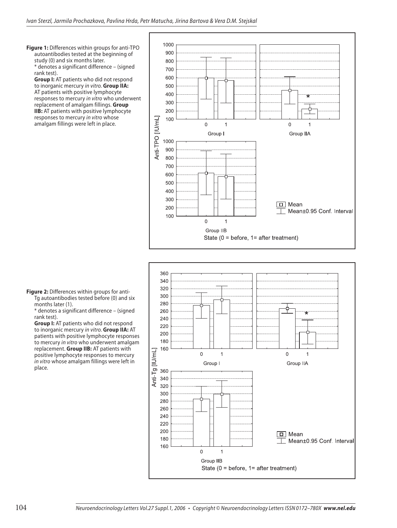**Figure 1:** Differences within groups for anti-TPO autoantibodies tested at the beginning of study (0) and six months later. \* denotes a significant difference – (signed rank test).

**Group I:** AT patients who did not respond to inorganic mercury in vitro. **Group IIA:** AT patients with positive lymphocyte responses to mercury in vitro who underwent replacement of amalgam fillings. **Group IIB:** AT patients with positive lymphocyte responses to mercury in vitro whose amalgam fillings were left in place.





\* denotes a significant difference – (signed rank test).

**Group I:** AT patients who did not respond to inorganic mercury in vitro. **Group IIA:** AT patients with positive lymphocyte responses to mercury in vitro who underwent amalgam replacement. **Group IIB:** AT patients with positive lymphocyte responses to mercury in vitro whose amalgam fillings were left in place.

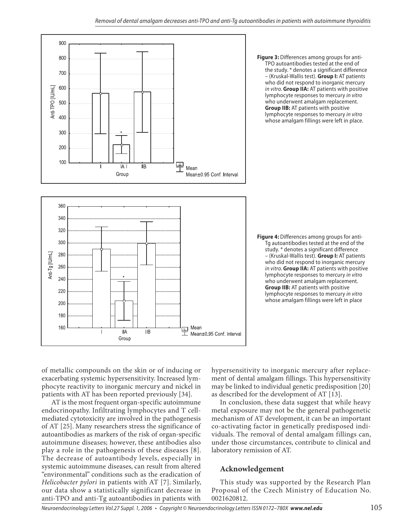



**Figure 3:** Differences among groups for anti-TPO autoantibodies tested at the end of the study. \* denotes a significant difference – (Kruskal-Wallis test). **Group I:** AT patients who did not respond to inorganic mercury in vitro. **Group IIA:** AT patients with positive lymphocyte responses to mercury in vitro who underwent amalgam replacement. **Group IIB:** AT patients with positive lymphocyte responses to mercury in vitro whose amalgam fillings were left in place.

**Figure 4:** Differences among groups for anti-Tg autoantibodies tested at the end of the study. \* denotes a significant difference – (Kruskal-Wallis test). **Group I:** AT patients who did not respond to inorganic mercury in vitro. **Group IIA:** AT patients with positive lymphocyte responses to mercury in vitro who underwent amalgam replacement. **Group IIB:** AT patients with positive lymphocyte responses to mercury in vitro whose amalgam fillings were left in place

of metallic compounds on the skin or of inducing or exacerbating systemic hypersensitivity. Increased lymphocyte reactivity to inorganic mercury and nickel in patients with AT has been reported previously [34].

 AT is the most frequent organ-specific autoimmune endocrinopathy. Infiltrating lymphocytes and T cellmediated cytotoxicity are involved in the pathogenesis of AT [25]. Many researchers stress the significance of autoantibodies as markers of the risk of organ-specific autoimmune diseases; however, these antibodies also play a role in the pathogenesis of these diseases [8]. The decrease of autoantibody levels, especially in systemic autoimmune diseases, can result from altered "environmental" conditions such as the eradication of Helicobacter pylori in patients with AT [7]. Similarly, our data show a statistically significant decrease in anti-TPO and anti-Tg autoantibodies in patients with

hypersensitivity to inorganic mercury after replacement of dental amalgam fillings. This hypersensitivity may be linked to individual genetic predisposition [20] as described for the development of AT [13].

In conclusion, these data suggest that while heavy metal exposure may not be the general pathogenetic mechanism of AT development, it can be an important co-activating factor in genetically predisposed individuals. The removal of dental amalgam fillings can, under those circumstances, contribute to clinical and laboratory remission of AT.

# **Acknowledgement**

This study was supported by the Research Plan Proposal of the Czech Ministry of Education No. 0021620812.